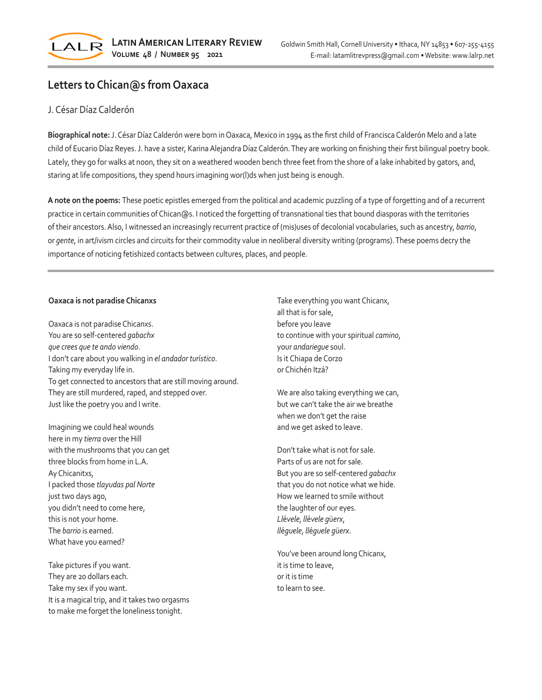

## **Letters to Chican@s from Oaxaca**

## J. César Díaz Calderón

**Biographical note:** J. César Díaz Calderón were born in Oaxaca, Mexico in 1994 as the first child of Francisca Calderón Melo and a late child of Eucario Díaz Reyes. J. have a sister, Karina Alejandra Díaz Calderón. They are working on finishing their first bilingual poetry book. Lately, they go for walks at noon, they sit on a weathered wooden bench three feet from the shore of a lake inhabited by gators, and, staring at life compositions, they spend hours imagining wor(l)ds when just being is enough.

**A note on the poems:** These poetic epistles emerged from the political and academic puzzling of a type of forgetting and of a recurrent practice in certain communities of Chican@s. I noticed the forgetting of transnational ties that bound diasporas with the territories of their ancestors. Also, I witnessed an increasingly recurrent practice of (mis)uses of decolonial vocabularies, such as ancestry, *barrio*, or *gente*, in art/ivism circles and circuits for their commodity value in neoliberal diversity writing (programs). These poems decry the importance of noticing fetishized contacts between cultures, places, and people.

## **Oaxaca is not paradise Chicanxs**

Oaxaca is not paradise Chicanxs. You are so self-centered *gabachx que crees que te ando viendo*. I don't care about you walking in *el andador tur*í*stico*. Taking my everyday life in. To get connected to ancestors that are still moving around. They are still murdered, raped, and stepped over. Just like the poetry you and I write.

Imagining we could heal wounds here in my *tierra* over the Hill with the mushrooms that you can get three blocks from home in L.A. Ay Chicanitxs, I packed those *tlayudas pal Norte* just two days ago, you didn't need to come here, this is not your home. The *barrio* is earned. What have you earned?

Take pictures if you want. They are 20 dollars each. Take my sex if you want. It is a magical trip, and it takes two orgasms to make me forget the loneliness tonight.

Take everything you want Chicanx, all that is for sale, before you leave to continue with your spiritual *camino*, your *andariegue* soul. Is it Chiapa de Corzo or Chichén Itzá?

We are also taking everything we can, but we can't take the air we breathe when we don't get the raise and we get asked to leave.

Don't take what is not for sale. Parts of us are not for sale. But you are so self-centered *gabachx* that you do not notice what we hide. How we learned to smile without the laughter of our eyes. *Ll*é*vele*, *ll*é*vele g*ü*erx*, *ll*é*guele*, *ll*é*guele g*ü*erx*.

You've been around long Chicanx, it is time to leave, or it is time to learn to see.